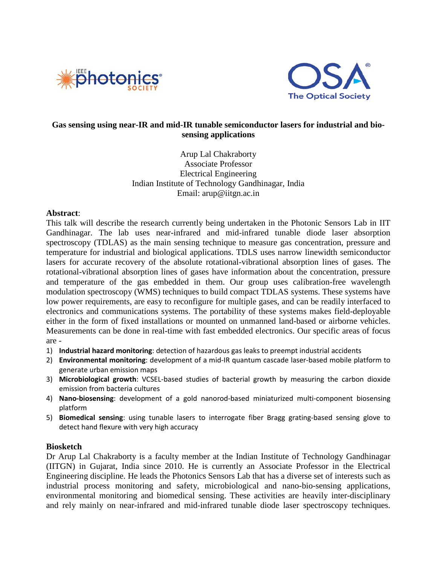



## **Gas sensing using near-IR and mid-IR tunable semiconductor lasers for industrial and biosensing applications**

Arup Lal Chakraborty Associate Professor Electrical Engineering Indian Institute of Technology Gandhinagar, India Email: arup@iitgn.ac.in

## **Abstract**:

This talk will describe the research currently being undertaken in the Photonic Sensors Lab in IIT Gandhinagar. The lab uses near-infrared and mid-infrared tunable diode laser absorption spectroscopy (TDLAS) as the main sensing technique to measure gas concentration, pressure and temperature for industrial and biological applications. TDLS uses narrow linewidth semiconductor lasers for accurate recovery of the absolute rotational-vibrational absorption lines of gases. The rotational-vibrational absorption lines of gases have information about the concentration, pressure and temperature of the gas embedded in them. Our group uses calibration-free wavelength modulation spectroscopy (WMS) techniques to build compact TDLAS systems. These systems have low power requirements, are easy to reconfigure for multiple gases, and can be readily interfaced to electronics and communications systems. The portability of these systems makes field-deployable either in the form of fixed installations or mounted on unmanned land-based or airborne vehicles. Measurements can be done in real-time with fast embedded electronics. Our specific areas of focus are -

- 1) **Industrial hazard monitoring**: detection of hazardous gas leaks to preempt industrial accidents
- 2) **Environmental monitoring**: development of a mid-IR quantum cascade laser-based mobile platform to generate urban emission maps
- 3) **Microbiological growth**: VCSEL-based studies of bacterial growth by measuring the carbon dioxide emission from bacteria cultures
- 4) **Nano-biosensing**: development of a gold nanorod-based miniaturized multi-component biosensing platform
- 5) **Biomedical sensing**: using tunable lasers to interrogate fiber Bragg grating-based sensing glove to detect hand flexure with very high accuracy

## **Biosketch**

Dr Arup Lal Chakraborty is a faculty member at the Indian Institute of Technology Gandhinagar (IITGN) in Gujarat, India since 2010. He is currently an Associate Professor in the Electrical Engineering discipline. He leads the Photonics Sensors Lab that has a diverse set of interests such as industrial process monitoring and safety, microbiological and nano-bio-sensing applications, environmental monitoring and biomedical sensing. These activities are heavily inter-disciplinary and rely mainly on near-infrared and mid-infrared tunable diode laser spectroscopy techniques.